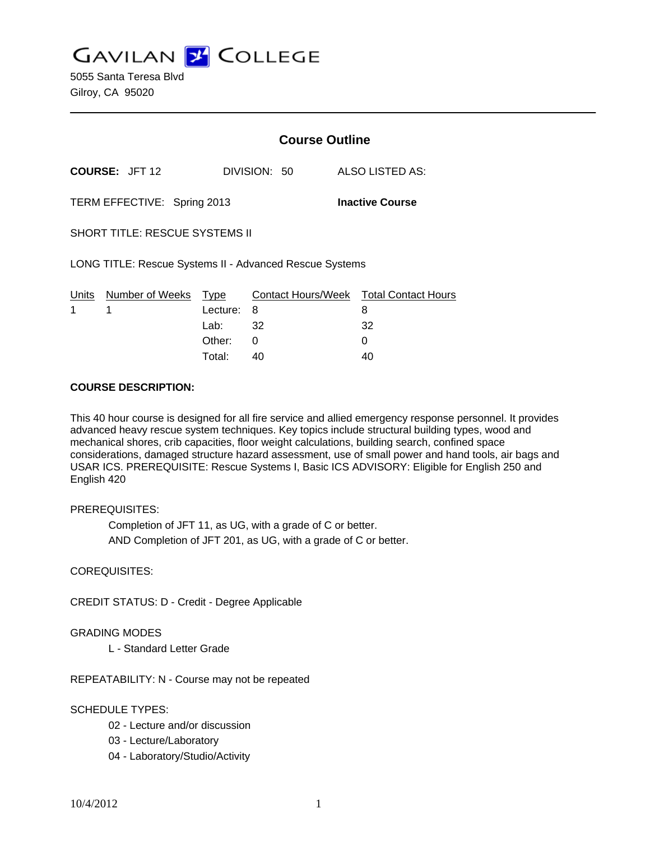**GAVILAN Z COLLEGE** 

5055 Santa Teresa Blvd Gilroy, CA 95020

|                                                         |                       | <b>Course Outline</b> |              |                                        |  |
|---------------------------------------------------------|-----------------------|-----------------------|--------------|----------------------------------------|--|
|                                                         | <b>COURSE: JFT 12</b> |                       | DIVISION: 50 | ALSO LISTED AS:                        |  |
| TERM EFFECTIVE: Spring 2013                             |                       |                       |              | <b>Inactive Course</b>                 |  |
| <b>SHORT TITLE: RESCUE SYSTEMS II</b>                   |                       |                       |              |                                        |  |
| LONG TITLE: Rescue Systems II - Advanced Rescue Systems |                       |                       |              |                                        |  |
|                                                         | Units Number of Weeks | Type                  |              | Contact Hours/Week Total Contact Hours |  |
| 1                                                       | 1                     | Lecture:              | 8            | 8                                      |  |
|                                                         |                       | Lab: $32$             |              | 32                                     |  |
|                                                         |                       | Other:                | 0            | 0                                      |  |
|                                                         |                       | Total:                | 40           | 40                                     |  |

### **COURSE DESCRIPTION:**

This 40 hour course is designed for all fire service and allied emergency response personnel. It provides advanced heavy rescue system techniques. Key topics include structural building types, wood and mechanical shores, crib capacities, floor weight calculations, building search, confined space considerations, damaged structure hazard assessment, use of small power and hand tools, air bags and USAR ICS. PREREQUISITE: Rescue Systems I, Basic ICS ADVISORY: Eligible for English 250 and English 420

### PREREQUISITES:

 Completion of JFT 11, as UG, with a grade of C or better. AND Completion of JFT 201, as UG, with a grade of C or better.

### COREQUISITES:

CREDIT STATUS: D - Credit - Degree Applicable

## GRADING MODES

L - Standard Letter Grade

REPEATABILITY: N - Course may not be repeated

### SCHEDULE TYPES:

- 02 Lecture and/or discussion
- 03 Lecture/Laboratory
- 04 Laboratory/Studio/Activity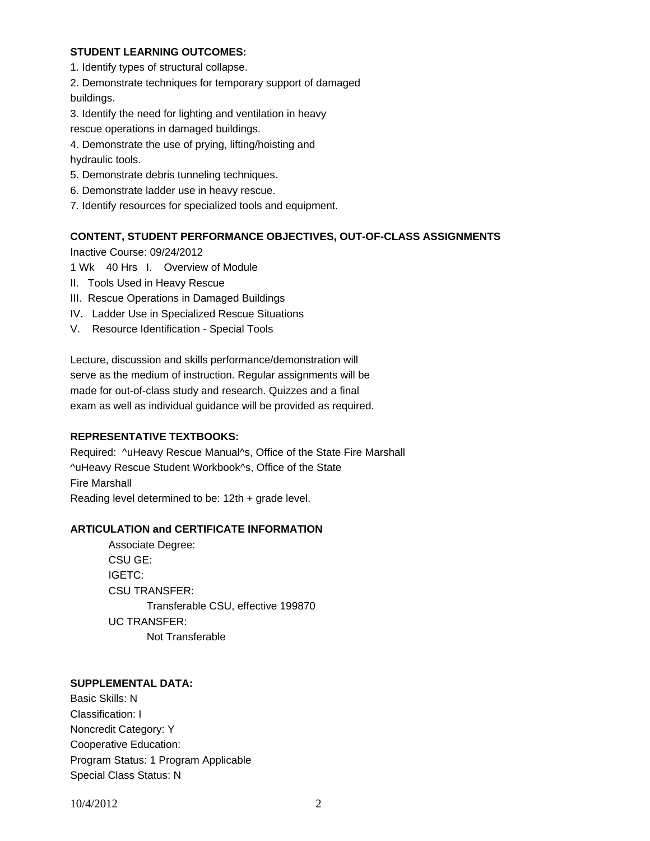## **STUDENT LEARNING OUTCOMES:**

1. Identify types of structural collapse.

2. Demonstrate techniques for temporary support of damaged buildings.

3. Identify the need for lighting and ventilation in heavy

rescue operations in damaged buildings.

4. Demonstrate the use of prying, lifting/hoisting and hydraulic tools.

- 5. Demonstrate debris tunneling techniques.
- 6. Demonstrate ladder use in heavy rescue.
- 7. Identify resources for specialized tools and equipment.

### **CONTENT, STUDENT PERFORMANCE OBJECTIVES, OUT-OF-CLASS ASSIGNMENTS**

Inactive Course: 09/24/2012

- 1 Wk 40 Hrs I. Overview of Module
- II. Tools Used in Heavy Rescue
- III. Rescue Operations in Damaged Buildings
- IV. Ladder Use in Specialized Rescue Situations
- V. Resource Identification Special Tools

Lecture, discussion and skills performance/demonstration will serve as the medium of instruction. Regular assignments will be made for out-of-class study and research. Quizzes and a final exam as well as individual guidance will be provided as required.

### **REPRESENTATIVE TEXTBOOKS:**

Required: ^uHeavy Rescue Manual^s, Office of the State Fire Marshall ^uHeavy Rescue Student Workbook^s, Office of the State Fire Marshall Reading level determined to be: 12th + grade level.

### **ARTICULATION and CERTIFICATE INFORMATION**

 Associate Degree: CSU GE: IGETC: CSU TRANSFER: Transferable CSU, effective 199870 UC TRANSFER: Not Transferable

# **SUPPLEMENTAL DATA:**

Basic Skills: N Classification: I Noncredit Category: Y Cooperative Education: Program Status: 1 Program Applicable Special Class Status: N

10/4/2012 2